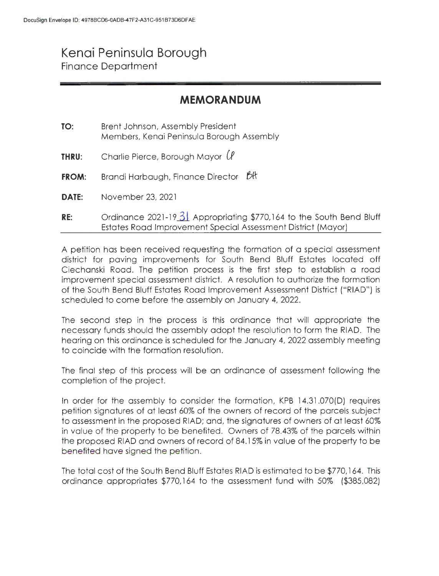## **Kenai Peninsula Borough**  Finance Department

## **MEMORANDUM**

| TO:   | Brent Johnson, Assembly President<br>Members, Kenai Peninsula Borough Assembly                                                       |
|-------|--------------------------------------------------------------------------------------------------------------------------------------|
| THRU: | Charlie Pierce, Borough Mayor $(\ell)$                                                                                               |
| FROM: | Brandi Harbaugh, Finance Director Bt                                                                                                 |
| DATE: | November 23, 2021                                                                                                                    |
| RE:   | Ordinance 2021-19 31 Appropriating \$770,164 to the South Bend Bluff<br>Estates Road Improvement Special Assessment District (Mayor) |

A petition has been received requesting the formation of a special assessment district for paving improvements for South Bend Bluff Estates located off Ciechanski Road. The petition process is the first step to establish a road improvement special assessment district. A resolution to authorize the formation of the South Bend Bluff Estates Road Improvement Assessment District ("RIAD") is scheduled to come before the assembly on January 4, 2022.

The second step in the process is this ordinance that will appropriate the necessary funds should the assembly adopt the resolution to form the RIAD. The hearing on this ordinance is scheduled for the January 4, 2022 assembly meeting to coincide with the formation resolution.

The final step of this process will be an ordinance of assessment following the completion of the project.

In order for the assembly to consider the formation, KPB 14.31.070(D) requires petition signatures of at least 60% of the owners of record of the parcels subject to assessment in the proposed RIAD; and, the signatures of owners of at least 60% in value of the property to be benefited. Owners of 78.43% of the parcels within the proposed RIAD and owners of record of 84.15% in value of the property to be benefited have signed the petition.

The total cost of the South Bend Bluff Estates RIAD is estimated to be \$770, 164. This ordinance appropriates \$770,164 to the assessment fund with 50% (\$385,082)